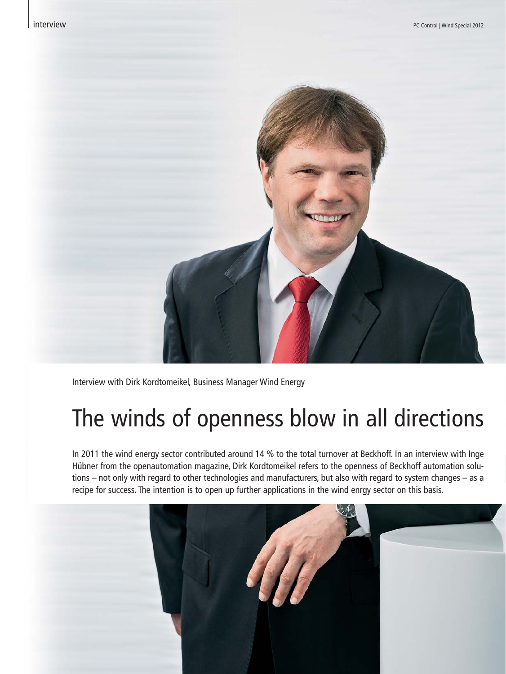

Interview with Dirk Kordtomeikel, Business Manager Wind Energy

# The winds of openness blow in all directions

In 2011 the wind energy sector contributed around 14 % to the total turnover at Beckhoff. In an interview with Inge Hübner from the openautomation magazine, Dirk Kordtomeikel refers to the openness of Beckhoff automation solutions – not only with regard to other technologies and manufacturers, but also with regard to system changes – as a recipe for success. The intention is to open up further applications in the wind enrgy sector on this basis.

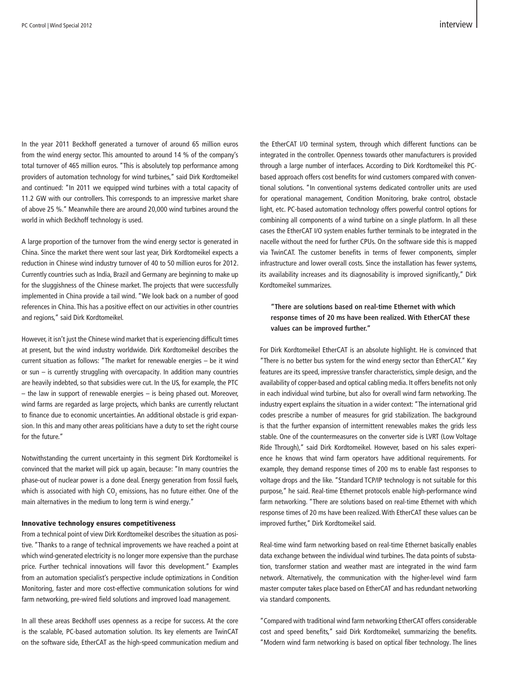In the year 2011 Beckhoff generated a turnover of around 65 million euros from the wind energy sector. This amounted to around 14 % of the company's total turnover of 465 million euros. "This is absolutely top performance among providers of automation technology for wind turbines," said Dirk Kordtomeikel and continued: "In 2011 we equipped wind turbines with a total capacity of 11.2 GW with our controllers. This corresponds to an impressive market share of above 25 %." Meanwhile there are around 20,000 wind turbines around the world in which Beckhoff technology is used.

A large proportion of the turnover from the wind energy sector is generated in China. Since the market there went sour last year, Dirk Kordtomeikel expects a reduction in Chinese wind industry turnover of 40 to 50 million euros for 2012. Currently countries such as India, Brazil and Germany are beginning to make up for the sluggishness of the Chinese market. The projects that were successfully implemented in China provide a tail wind. "We look back on a number of good references in China. This has a positive effect on our activities in other countries and regions," said Dirk Kordtomeikel.

However, it isn't just the Chinese wind market that is experiencing difficult times at present, but the wind industry worldwide. Dirk Kordtomeikel describes the current situation as follows: "The market for renewable energies – be it wind or sun – is currently struggling with overcapacity. In addition many countries are heavily indebted, so that subsidies were cut. In the US, for example, the PTC – the law in support of renewable energies – is being phased out. Moreover, wind farms are regarded as large projects, which banks are currently reluctant to finance due to economic uncertainties. An additional obstacle is grid expansion. In this and many other areas politicians have a duty to set the right course for the future."

Notwithstanding the current uncertainty in this segment Dirk Kordtomeikel is convinced that the market will pick up again, because: "In many countries the phase-out of nuclear power is a done deal. Energy generation from fossil fuels, which is associated with high CO $_{\textrm{\tiny{2}}}$  emissions, has no future either. One of the main alternatives in the medium to long term is wind energy."

#### Innovative technology ensures competitiveness

From a technical point of view Dirk Kordtomeikel describes the situation as positive. "Thanks to a range of technical improvements we have reached a point at which wind-generated electricity is no longer more expensive than the purchase price. Further technical innovations will favor this development." Examples from an automation specialist's perspective include optimizations in Condition Monitoring, faster and more cost-effective communication solutions for wind farm networking, pre-wired field solutions and improved load management.

In all these areas Beckhoff uses openness as a recipe for success. At the core is the scalable, PC-based automation solution. Its key elements are TwinCAT on the software side, EtherCAT as the high-speed communication medium and the EtherCAT I/O terminal system, through which different functions can be integrated in the controller. Openness towards other manufacturers is provided through a large number of interfaces. According to Dirk Kordtomeikel this PCbased approach offers cost benefits for wind customers compared with conventional solutions. "In conventional systems dedicated controller units are used for operational management, Condition Monitoring, brake control, obstacle light, etc. PC-based automation technology offers powerful control options for combining all components of a wind turbine on a single platform. In all these cases the EtherCAT I/O system enables further terminals to be integrated in the nacelle without the need for further CPUs. On the software side this is mapped via TwinCAT. The customer benefits in terms of fewer components, simpler infrastructure and lower overall costs. Since the installation has fewer systems, its availability increases and its diagnosability is improved significantly," Dirk Kordtomeikel summarizes.

## **"There are solutions based on real-time Ethernet with which response times of 20 ms have been realized. With EtherCAT these values can be improved further."**

For Dirk Kordtomeikel EtherCAT is an absolute highlight. He is convinced that "There is no better bus system for the wind energy sector than EtherCAT." Key features are its speed, impressive transfer characteristics, simple design, and the availability of copper-based and optical cabling media. It offers benefits not only in each individual wind turbine, but also for overall wind farm networking. The industry expert explains the situation in a wider context: "The international grid codes prescribe a number of measures for grid stabilization. The background is that the further expansion of intermittent renewables makes the grids less stable. One of the countermeasures on the converter side is LVRT (Low Voltage Ride Through)," said Dirk Kordtomeikel. However, based on his sales experience he knows that wind farm operators have additional requirements. For example, they demand response times of 200 ms to enable fast responses to voltage drops and the like. "Standard TCP/IP technology is not suitable for this purpose," he said. Real-time Ethernet protocols enable high-performance wind farm networking. "There are solutions based on real-time Ethernet with which response times of 20 ms have been realized. With EtherCAT these values can be improved further," Dirk Kordtomeikel said.

Real-time wind farm networking based on real-time Ethernet basically enables data exchange between the individual wind turbines. The data points of substation, transformer station and weather mast are integrated in the wind farm network. Alternatively, the communication with the higher-level wind farm master computer takes place based on EtherCAT and has redundant networking via standard components.

"Compared with traditional wind farm networking EtherCAT offers considerable cost and speed benefits," said Dirk Kordtomeikel, summarizing the benefits. "Modern wind farm networking is based on optical fiber technology. The lines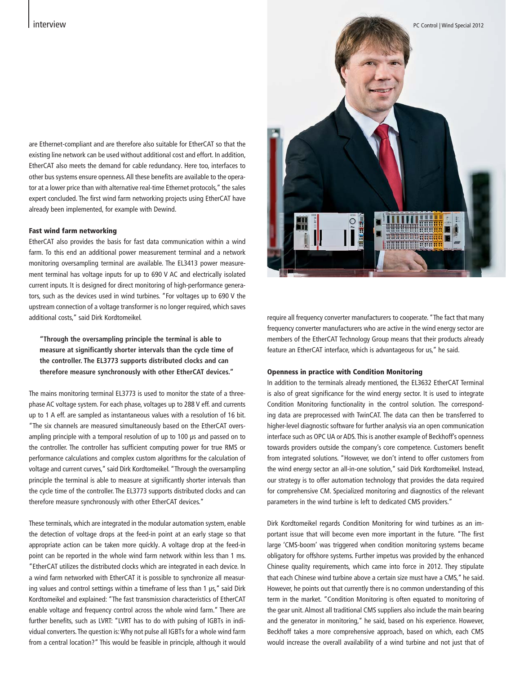are Ethernet-compliant and are therefore also suitable for EtherCAT so that the existing line network can be used without additional cost and effort. In addition, EtherCAT also meets the demand for cable redundancy. Here too, interfaces to other bus systems ensure openness. All these benefits are available to the operator at a lower price than with alternative real-time Ethernet protocols," the sales expert concluded. The first wind farm networking projects using EtherCAT have already been implemented, for example with Dewind.

#### Fast wind farm networking

EtherCAT also provides the basis for fast data communication within a wind farm. To this end an additional power measurement terminal and a network monitoring oversampling terminal are available. The EL3413 power measurement terminal has voltage inputs for up to 690 V AC and electrically isolated current inputs. It is designed for direct monitoring of high-performance generators, such as the devices used in wind turbines. "For voltages up to 690 V the upstream connection of a voltage transformer is no longer required, which saves additional costs," said Dirk Kordtomeikel.

## **"Through the oversampling principle the terminal is able to measure at significantly shorter intervals than the cycle time of the controller. The EL3773 supports distributed clocks and can therefore measure synchronously with other EtherCAT devices."**

The mains monitoring terminal EL3773 is used to monitor the state of a threephase AC voltage system. For each phase, voltages up to 288 V eff. and currents up to 1 A eff. are sampled as instantaneous values with a resolution of 16 bit. "The six channels are measured simultaneously based on the EtherCAT oversampling principle with a temporal resolution of up to 100 μs and passed on to the controller. The controller has sufficient computing power for true RMS or performance calculations and complex custom algorithms for the calculation of voltage and current curves," said Dirk Kordtomeikel. "Through the oversampling principle the terminal is able to measure at significantly shorter intervals than the cycle time of the controller. The EL3773 supports distributed clocks and can therefore measure synchronously with other EtherCAT devices."

These terminals, which are integrated in the modular automation system, enable the detection of voltage drops at the feed-in point at an early stage so that appropriate action can be taken more quickly. A voltage drop at the feed-in point can be reported in the whole wind farm network within less than 1 ms. "EtherCAT utilizes the distributed clocks which are integrated in each device. In a wind farm networked with EtherCAT it is possible to synchronize all measuring values and control settings within a timeframe of less than 1 μs," said Dirk Kordtomeikel and explained: "The fast transmission characteristics of EtherCAT enable voltage and frequency control across the whole wind farm." There are further benefits, such as LVRT: "LVRT has to do with pulsing of IGBTs in individual converters. The question is: Why not pulse all IGBTs for a whole wind farm from a central location?" This would be feasible in principle, although it would



require all frequency converter manufacturers to cooperate. "The fact that many frequency converter manufacturers who are active in the wind energy sector are members of the EtherCAT Technology Group means that their products already feature an EtherCAT interface, which is advantageous for us," he said.

#### Openness in practice with Condition Monitoring

In addition to the terminals already mentioned, the EL3632 EtherCAT Terminal is also of great significance for the wind energy sector. It is used to integrate Condition Monitoring functionality in the control solution. The corresponding data are preprocessed with TwinCAT. The data can then be transferred to higher-level diagnostic software for further analysis via an open communication interface such as OPC UA or ADS. This is another example of Beckhoff's openness towards providers outside the company's core competence. Customers benefit from integrated solutions. "However, we don't intend to offer customers from the wind energy sector an all-in-one solution," said Dirk Kordtomeikel. Instead, our strategy is to offer automation technology that provides the data required for comprehensive CM. Specialized monitoring and diagnostics of the relevant parameters in the wind turbine is left to dedicated CMS providers."

Dirk Kordtomeikel regards Condition Monitoring for wind turbines as an important issue that will become even more important in the future. "The first large 'CMS-boom' was triggered when condition monitoring systems became obligatory for offshore systems. Further impetus was provided by the enhanced Chinese quality requirements, which came into force in 2012. They stipulate that each Chinese wind turbine above a certain size must have a CMS," he said. However, he points out that currently there is no common understanding of this term in the market. "Condition Monitoring is often equated to monitoring of the gear unit. Almost all traditional CMS suppliers also include the main bearing and the generator in monitoring," he said, based on his experience. However, Beckhoff takes a more comprehensive approach, based on which, each CMS would increase the overall availability of a wind turbine and not just that of